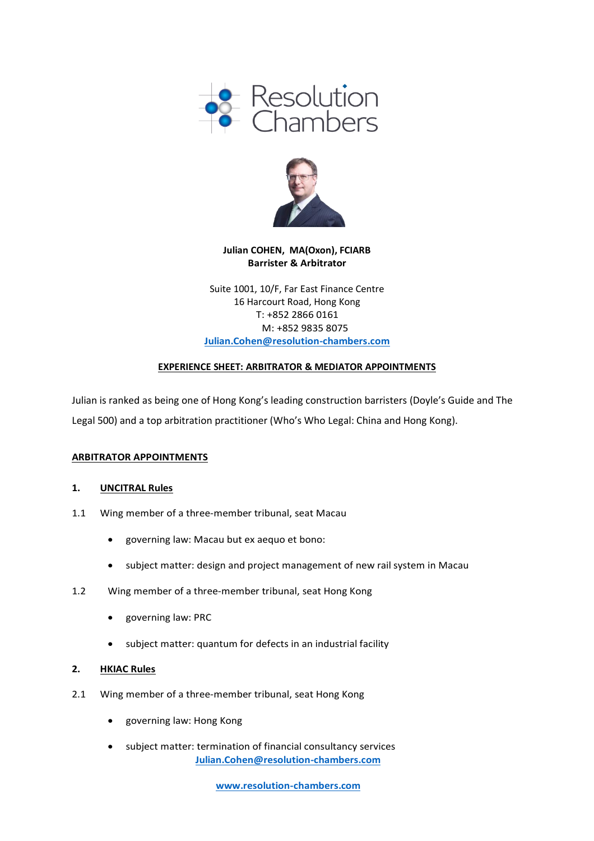



# **Julian COHEN, MA(Oxon), FCIARB Barrister & Arbitrator**

Suite 1001, 10/F, Far East Finance Centre 16 Harcourt Road, Hong Kong T: +852 2866 0161 M: +852 9835 8075 **[Julian.Cohen@resolution-chambers.com](mailto:Julian.Cohen@resolution-chambers.com)**

## **EXPERIENCE SHEET: ARBITRATOR & MEDIATOR APPOINTMENTS**

Julian is ranked as being one of Hong Kong's leading construction barristers (Doyle's Guide and The Legal 500) and a top arbitration practitioner (Who's Who Legal: China and Hong Kong).

## **ARBITRATOR APPOINTMENTS**

#### **1. UNCITRAL Rules**

- 1.1 Wing member of a three-member tribunal, seat Macau
	- governing law: Macau but ex aequo et bono:
	- subject matter: design and project management of new rail system in Macau
- 1.2 Wing member of a three-member tribunal, seat Hong Kong
	- governing law: PRC
	- subject matter: quantum for defects in an industrial facility

#### **2. HKIAC Rules**

- 2.1 Wing member of a three-member tribunal, seat Hong Kong
	- governing law: Hong Kong
	- **[Julian.Cohen@resolution-chambers.com](mailto:Julian.Cohen@resolution-chambers.com)** • subject matter: termination of financial consultancy services

**[www.resolution-chambers.com](http://www.resolution-chambers.com/)**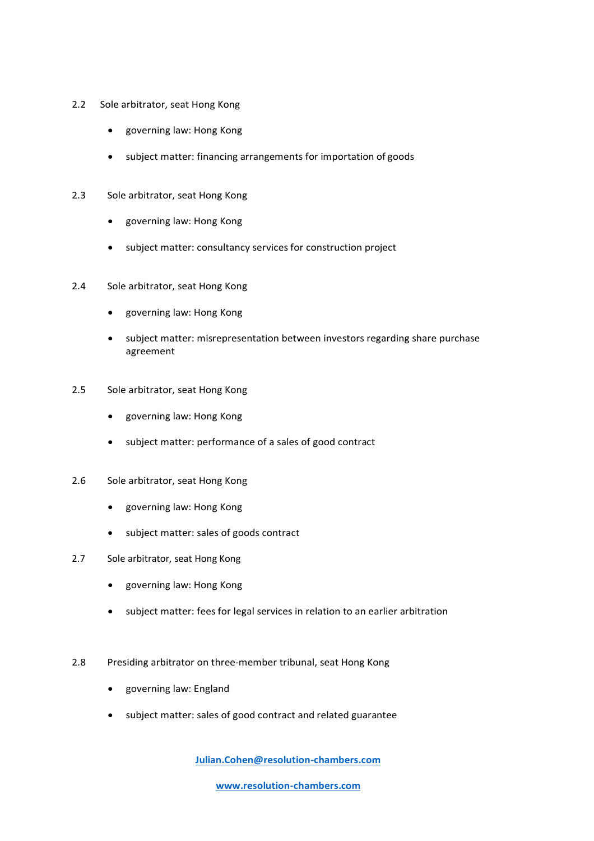- 2.2 Sole arbitrator, seat Hong Kong
	- governing law: Hong Kong
	- subject matter: financing arrangements for importation of goods
- 2.3 Sole arbitrator, seat Hong Kong
	- governing law: Hong Kong
	- subject matter: consultancy services for construction project
- 2.4 Sole arbitrator, seat Hong Kong
	- governing law: Hong Kong
	- subject matter: misrepresentation between investors regarding share purchase agreement
- 2.5 Sole arbitrator, seat Hong Kong
	- governing law: Hong Kong
	- subject matter: performance of a sales of good contract
- 2.6 Sole arbitrator, seat Hong Kong
	- governing law: Hong Kong
	- subject matter: sales of goods contract
- 2.7 Sole arbitrator, seat Hong Kong
	- governing law: Hong Kong
	- subject matter: fees for legal services in relation to an earlier arbitration
- 2.8 Presiding arbitrator on three-member tribunal, seat Hong Kong
	- governing law: England
	- subject matter: sales of good contract and related guarantee

**[Julian.Cohen@resolution-chambers.com](mailto:Julian.Cohen@resolution-chambers.com)**

**[www.resolution-chambers.com](http://www.resolution-chambers.com/)**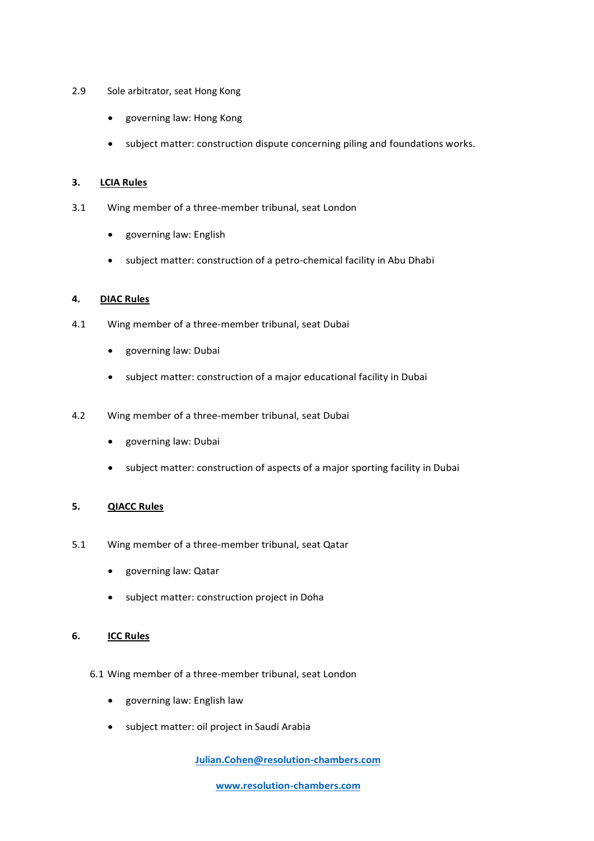- 2.9 Sole arbitrator, seat Hong Kong
	- governing law: Hong Kong
	- subject matter: construction dispute concerning piling and foundations works.

## **3. LCIA Rules**

- 3.1 Wing member of a three-member tribunal, seat London
	- governing law: English
	- subject matter: construction of a petro-chemical facility in Abu Dhabi

## **4. DIAC Rules**

- 4.1 Wing member of a three-member tribunal, seat Dubai
	- governing law: Dubai
	- subject matter: construction of a major educational facility in Dubai
- 4.2 Wing member of a three-member tribunal, seat Dubai
	- governing law: Dubai
	- subject matter: construction of aspects of a major sporting facility in Dubai

## **5. QIACC Rules**

- 5.1 Wing member of a three-member tribunal, seat Qatar
	- governing law: Qatar
	- subject matter: construction project in Doha

## **6. ICC Rules**

- 6.1 Wing member of a three-member tribunal, seat London
	- governing law: English law
	- subject matter: oil project in Saudi Arabia

**[Julian.Cohen@resolution-chambers.com](mailto:Julian.Cohen@resolution-chambers.com)**